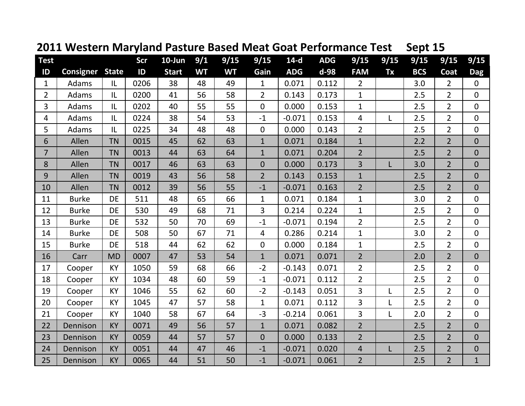| <b>Test</b>    |                        |           | <b>Scr</b> | $10$ -Jun    | 9/1       | 9/15      | 9/15           | $14-d$     | <b>ADG</b> | 9/15           | 9/15 | 9/15       | 9/15           | 9/15           |
|----------------|------------------------|-----------|------------|--------------|-----------|-----------|----------------|------------|------------|----------------|------|------------|----------------|----------------|
| ID             | <b>Consigner State</b> |           | ID         | <b>Start</b> | <b>WT</b> | <b>WT</b> | Gain           | <b>ADG</b> | d-98       | <b>FAM</b>     | Tx   | <b>BCS</b> | Coat           | <b>Dag</b>     |
| $\mathbf{1}$   | Adams                  | IL        | 0206       | 38           | 48        | 49        | $\mathbf{1}$   | 0.071      | 0.112      | $\overline{2}$ |      | 3.0        | $\overline{2}$ | $\mathbf 0$    |
| $\overline{2}$ | Adams                  | IL        | 0200       | 41           | 56        | 58        | $\overline{2}$ | 0.143      | 0.173      | $\mathbf{1}$   |      | 2.5        | $\overline{2}$ | $\mathbf 0$    |
| 3              | Adams                  | IL        | 0202       | 40           | 55        | 55        | $\overline{0}$ | 0.000      | 0.153      | $\mathbf{1}$   |      | 2.5        | $\overline{2}$ | $\overline{0}$ |
| 4              | Adams                  | IL        | 0224       | 38           | 54        | 53        | $-1$           | $-0.071$   | 0.153      | $\overline{4}$ | L    | 2.5        | $\overline{2}$ | $\mathbf 0$    |
| 5              | Adams                  | IL        | 0225       | 34           | 48        | 48        | $\mathbf 0$    | 0.000      | 0.143      | $\overline{2}$ |      | 2.5        | $\overline{2}$ | $\mathbf 0$    |
| 6              | Allen                  | <b>TN</b> | 0015       | 45           | 62        | 63        | $\mathbf{1}$   | 0.071      | 0.184      | $\mathbf 1$    |      | 2.2        | $\overline{2}$ | $\mathbf{0}$   |
| $\overline{7}$ | Allen                  | <b>TN</b> | 0013       | 44           | 63        | 64        | $\mathbf{1}$   | 0.071      | 0.204      | $\overline{2}$ |      | 2.5        | $\overline{2}$ | $\mathbf{0}$   |
| 8              | Allen                  | <b>TN</b> | 0017       | 46           | 63        | 63        | $\overline{0}$ | 0.000      | 0.173      | $\overline{3}$ | L    | 3.0        | $\overline{2}$ | $\overline{0}$ |
| 9              | Allen                  | <b>TN</b> | 0019       | 43           | 56        | 58        | $\overline{2}$ | 0.143      | 0.153      | $\mathbf{1}$   |      | 2.5        | $\overline{2}$ | $\mathbf{0}$   |
| 10             | Allen                  | <b>TN</b> | 0012       | 39           | 56        | 55        | $-1$           | $-0.071$   | 0.163      | $\overline{2}$ |      | 2.5        | $\overline{2}$ | $\mathbf 0$    |
| 11             | <b>Burke</b>           | <b>DE</b> | 511        | 48           | 65        | 66        | $\mathbf{1}$   | 0.071      | 0.184      | $\mathbf{1}$   |      | 3.0        | $\overline{2}$ | $\mathbf{0}$   |
| 12             | <b>Burke</b>           | <b>DE</b> | 530        | 49           | 68        | 71        | 3              | 0.214      | 0.224      | $\mathbf{1}$   |      | 2.5        | $\overline{2}$ | $\mathbf 0$    |
| 13             | <b>Burke</b>           | DE        | 532        | 50           | 70        | 69        | $-1$           | $-0.071$   | 0.194      | $\overline{2}$ |      | 2.5        | $\overline{2}$ | $\mathbf 0$    |
| 14             | <b>Burke</b>           | <b>DE</b> | 508        | 50           | 67        | 71        | 4              | 0.286      | 0.214      | $\mathbf{1}$   |      | 3.0        | $\overline{2}$ | $\overline{0}$ |
| 15             | <b>Burke</b>           | <b>DE</b> | 518        | 44           | 62        | 62        | $\overline{0}$ | 0.000      | 0.184      | $\mathbf{1}$   |      | 2.5        | $\overline{2}$ | $\overline{0}$ |
| 16             | Carr                   | <b>MD</b> | 0007       | 47           | 53        | 54        | $\mathbf{1}$   | 0.071      | 0.071      | $\overline{2}$ |      | 2.0        | $\overline{2}$ | $\mathbf 0$    |
| 17             | Cooper                 | KY        | 1050       | 59           | 68        | 66        | $-2$           | $-0.143$   | 0.071      | $\overline{2}$ |      | 2.5        | $\overline{2}$ | $\mathbf 0$    |
| 18             | Cooper                 | <b>KY</b> | 1034       | 48           | 60        | 59        | $-1$           | $-0.071$   | 0.112      | $\overline{2}$ |      | 2.5        | $\overline{2}$ | $\mathbf 0$    |
| 19             | Cooper                 | <b>KY</b> | 1046       | 55           | 62        | 60        | $-2$           | $-0.143$   | 0.051      | $\overline{3}$ | L    | 2.5        | $\overline{2}$ | $\mathbf 0$    |
| 20             | Cooper                 | KY        | 1045       | 47           | 57        | 58        | $\mathbf{1}$   | 0.071      | 0.112      | 3              | L    | 2.5        | $\overline{2}$ | $\mathbf 0$    |
| 21             | Cooper                 | KY        | 1040       | 58           | 67        | 64        | $-3$           | $-0.214$   | 0.061      | $\overline{3}$ | L    | 2.0        | $\overline{2}$ | $\mathbf 0$    |
| 22             | Dennison               | KY        | 0071       | 49           | 56        | 57        | $\mathbf{1}$   | 0.071      | 0.082      | $\overline{2}$ |      | 2.5        | $\overline{2}$ | $\overline{0}$ |
| 23             | Dennison               | <b>KY</b> | 0059       | 44           | 57        | 57        | $\overline{0}$ | 0.000      | 0.133      | $\overline{2}$ |      | 2.5        | $\overline{2}$ | $\mathbf{0}$   |
| 24             | Dennison               | <b>KY</b> | 0051       | 44           | 47        | 46        | $-1$           | $-0.071$   | 0.020      | $\overline{4}$ | L    | 2.5        | $\overline{2}$ | $\mathbf 0$    |
| 25             | Dennison               | <b>KY</b> | 0065       | 44           | 51        | 50        | $-1$           | $-0.071$   | 0.061      | $\overline{2}$ |      | 2.5        | $\overline{2}$ | $\mathbf{1}$   |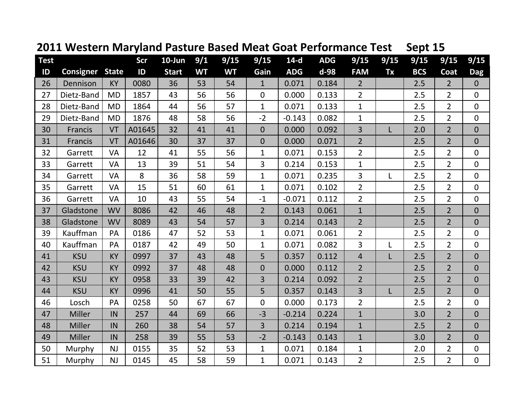| <b>Test</b> |            |              | <b>Scr</b> | $10$ -Jun    | 9/1       | 9/15      | 9/15           | $14-d$     | <b>ADG</b> | 9/15                    | 9/15 | 9/15       | 9/15           | 9/15           |
|-------------|------------|--------------|------------|--------------|-----------|-----------|----------------|------------|------------|-------------------------|------|------------|----------------|----------------|
| ID          | Consigner  | <b>State</b> | ID         | <b>Start</b> | <b>WT</b> | <b>WT</b> | Gain           | <b>ADG</b> | d-98       | <b>FAM</b>              | Tx   | <b>BCS</b> | Coat           | <b>Dag</b>     |
| 26          | Dennison   | <b>KY</b>    | 0080       | 36           | 53        | 54        | $\mathbf{1}$   | 0.071      | 0.184      | $\overline{2}$          |      | 2.5        | $\overline{2}$ | $\overline{0}$ |
| 27          | Dietz-Band | <b>MD</b>    | 1857       | 43           | 56        | 56        | $\mathbf 0$    | 0.000      | 0.133      | $\overline{2}$          |      | 2.5        | $\overline{2}$ | $\mathbf 0$    |
| 28          | Dietz-Band | <b>MD</b>    | 1864       | 44           | 56        | 57        | $\mathbf{1}$   | 0.071      | 0.133      | $\mathbf{1}$            |      | 2.5        | $\overline{2}$ | $\mathbf 0$    |
| 29          | Dietz-Band | <b>MD</b>    | 1876       | 48           | 58        | 56        | $-2$           | $-0.143$   | 0.082      | $\mathbf{1}$            |      | 2.5        | $\overline{2}$ | $\mathbf 0$    |
| 30          | Francis    | VT           | A01645     | 32           | 41        | 41        | $\overline{0}$ | 0.000      | 0.092      | $\overline{3}$          | L    | 2.0        | $\overline{2}$ | $\overline{0}$ |
| 31          | Francis    | VT           | A01646     | 30           | 37        | 37        | $\overline{0}$ | 0.000      | 0.071      | $\overline{2}$          |      | 2.5        | $\overline{2}$ | $\mathbf{0}$   |
| 32          | Garrett    | <b>VA</b>    | 12         | 41           | 55        | 56        | $\mathbf{1}$   | 0.071      | 0.153      | $\overline{2}$          |      | 2.5        | $\overline{2}$ | $\mathbf 0$    |
| 33          | Garrett    | <b>VA</b>    | 13         | 39           | 51        | 54        | 3              | 0.214      | 0.153      | $\mathbf{1}$            |      | 2.5        | $\overline{2}$ | $\mathbf 0$    |
| 34          | Garrett    | VA           | 8          | 36           | 58        | 59        | $\mathbf{1}$   | 0.071      | 0.235      | 3                       | L    | 2.5        | $\overline{2}$ | $\mathbf 0$    |
| 35          | Garrett    | VA           | 15         | 51           | 60        | 61        | $\mathbf{1}$   | 0.071      | 0.102      | $\overline{2}$          |      | 2.5        | $\overline{2}$ | $\mathbf 0$    |
| 36          | Garrett    | <b>VA</b>    | 10         | 43           | 55        | 54        | $-1$           | $-0.071$   | 0.112      | $\overline{2}$          |      | 2.5        | $\overline{2}$ | $\overline{0}$ |
| 37          | Gladstone  | <b>WV</b>    | 8086       | 42           | 46        | 48        | $\overline{2}$ | 0.143      | 0.061      | $\mathbf{1}$            |      | 2.5        | $\overline{2}$ | $\mathbf{0}$   |
| 38          | Gladstone  | <b>WV</b>    | 8089       | 43           | 54        | 57        | 3              | 0.214      | 0.143      | $\overline{2}$          |      | 2.5        | $\overline{2}$ | $\overline{0}$ |
| 39          | Kauffman   | PA           | 0186       | 47           | 52        | 53        | $\mathbf{1}$   | 0.071      | 0.061      | $\overline{2}$          |      | 2.5        | $\overline{2}$ | $\overline{0}$ |
| 40          | Kauffman   | PA           | 0187       | 42           | 49        | 50        | $\mathbf{1}$   | 0.071      | 0.082      | 3                       | L    | 2.5        | $\overline{2}$ | $\mathbf 0$    |
| 41          | <b>KSU</b> | <b>KY</b>    | 0997       | 37           | 43        | 48        | 5              | 0.357      | 0.112      | $\overline{\mathbf{r}}$ | L    | 2.5        | $\overline{2}$ | $\mathbf{0}$   |
| 42          | <b>KSU</b> | <b>KY</b>    | 0992       | 37           | 48        | 48        | $\overline{0}$ | 0.000      | 0.112      | $\overline{2}$          |      | 2.5        | $\overline{2}$ | $\overline{0}$ |
| 43          | <b>KSU</b> | <b>KY</b>    | 0958       | 33           | 39        | 42        | 3              | 0.214      | 0.092      | $\overline{2}$          |      | 2.5        | $\overline{2}$ | $\mathbf{0}$   |
| 44          | <b>KSU</b> | KY           | 0996       | 41           | 50        | 55        | 5              | 0.357      | 0.143      | $\overline{3}$          | L    | 2.5        | $\overline{2}$ | $\overline{0}$ |
| 46          | Losch      | PA           | 0258       | 50           | 67        | 67        | $\mathbf 0$    | 0.000      | 0.173      | $\overline{2}$          |      | 2.5        | $\overline{2}$ | $\mathbf 0$    |
| 47          | Miller     | IN           | 257        | 44           | 69        | 66        | $-3$           | $-0.214$   | 0.224      | $\mathbf{1}$            |      | 3.0        | $\overline{2}$ | $\overline{0}$ |
| 48          | Miller     | IN           | 260        | 38           | 54        | 57        | 3              | 0.214      | 0.194      | $\mathbf{1}$            |      | 2.5        | $\overline{2}$ | $\overline{0}$ |
| 49          | Miller     | IN           | 258        | 39           | 55        | 53        | $-2$           | $-0.143$   | 0.143      | $\mathbf{1}$            |      | 3.0        | $\overline{2}$ | $\mathbf 0$    |
| 50          | Murphy     | <b>NJ</b>    | 0155       | 35           | 52        | 53        | $\mathbf{1}$   | 0.071      | 0.184      | $\mathbf{1}$            |      | 2.0        | $\overline{2}$ | $\mathbf 0$    |
| 51          | Murphy     | NJ           | 0145       | 45           | 58        | 59        | $\mathbf{1}$   | 0.071      | 0.143      | $\overline{2}$          |      | 2.5        | $\overline{2}$ | $\overline{0}$ |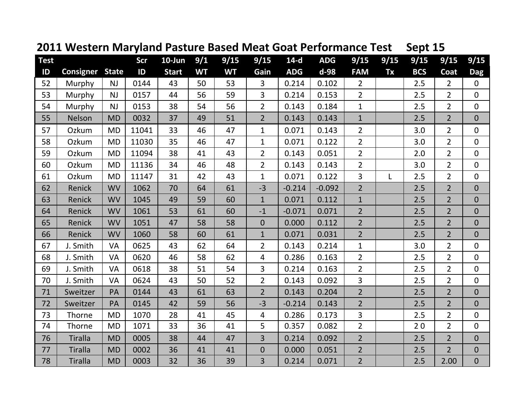| <b>Test</b> |                  |              | Scr   | $10$ -Jun    | 9/1       | 9/15      | 9/15           | $14-d$     | <b>ADG</b> | 9/15           | 9/15 | 9/15       | 9/15           | 9/15           |
|-------------|------------------|--------------|-------|--------------|-----------|-----------|----------------|------------|------------|----------------|------|------------|----------------|----------------|
| ID          | <b>Consigner</b> | <b>State</b> | ID    | <b>Start</b> | <b>WT</b> | <b>WT</b> | Gain           | <b>ADG</b> | d-98       | <b>FAM</b>     | Tx   | <b>BCS</b> | Coat           | <b>Dag</b>     |
| 52          | Murphy           | NJ           | 0144  | 43           | 50        | 53        | 3              | 0.214      | 0.102      | $\overline{2}$ |      | 2.5        | $\overline{2}$ | $\mathbf 0$    |
| 53          | Murphy           | <b>NJ</b>    | 0157  | 44           | 56        | 59        | 3              | 0.214      | 0.153      | $\overline{2}$ |      | 2.5        | $\overline{2}$ | $\mathbf{0}$   |
| 54          | Murphy           | NJ           | 0153  | 38           | 54        | 56        | $\overline{2}$ | 0.143      | 0.184      | $\mathbf{1}$   |      | 2.5        | $\overline{2}$ | $\overline{0}$ |
| 55          | Nelson           | <b>MD</b>    | 0032  | 37           | 49        | 51        | $\overline{2}$ | 0.143      | 0.143      | $\mathbf{1}$   |      | 2.5        | $\overline{2}$ | $\overline{0}$ |
| 57          | Ozkum            | <b>MD</b>    | 11041 | 33           | 46        | 47        | $\mathbf{1}$   | 0.071      | 0.143      | $\overline{2}$ |      | 3.0        | $\overline{2}$ | $\mathbf 0$    |
| 58          | Ozkum            | <b>MD</b>    | 11030 | 35           | 46        | 47        | $\mathbf{1}$   | 0.071      | 0.122      | $\overline{2}$ |      | 3.0        | $\overline{2}$ | $\mathbf 0$    |
| 59          | Ozkum            | <b>MD</b>    | 11094 | 38           | 41        | 43        | $\overline{2}$ | 0.143      | 0.051      | $\overline{2}$ |      | 2.0        | $\overline{2}$ | $\mathbf 0$    |
| 60          | Ozkum            | <b>MD</b>    | 11136 | 34           | 46        | 48        | $\overline{2}$ | 0.143      | 0.143      | $\overline{2}$ |      | 3.0        | $\overline{2}$ | $\mathbf 0$    |
| 61          | Ozkum            | <b>MD</b>    | 11147 | 31           | 42        | 43        | $\mathbf{1}$   | 0.071      | 0.122      | 3              | Г    | 2.5        | $\overline{2}$ | $\mathbf{0}$   |
| 62          | Renick           | <b>WV</b>    | 1062  | 70           | 64        | 61        | $-3$           | $-0.214$   | $-0.092$   | $\overline{2}$ |      | 2.5        | $\overline{2}$ | $\mathbf{0}$   |
| 63          | Renick           | <b>WV</b>    | 1045  | 49           | 59        | 60        | $\mathbf{1}$   | 0.071      | 0.112      | $\mathbf{1}$   |      | 2.5        | $\overline{2}$ | $\mathbf{0}$   |
| 64          | Renick           | <b>WV</b>    | 1061  | 53           | 61        | 60        | $-1$           | $-0.071$   | 0.071      | $\overline{2}$ |      | 2.5        | $\overline{2}$ | $\mathbf{0}$   |
| 65          | Renick           | <b>WV</b>    | 1051  | 47           | 58        | 58        | $\overline{0}$ | 0.000      | 0.112      | $\overline{2}$ |      | 2.5        | $\overline{2}$ | $\overline{0}$ |
| 66          | Renick           | <b>WV</b>    | 1060  | 58           | 60        | 61        | $\mathbf{1}$   | 0.071      | 0.031      | $\overline{2}$ |      | 2.5        | $\overline{2}$ | $\overline{0}$ |
| 67          | J. Smith         | <b>VA</b>    | 0625  | 43           | 62        | 64        | $\overline{2}$ | 0.143      | 0.214      | $\mathbf{1}$   |      | 3.0        | $\overline{2}$ | $\mathbf 0$    |
| 68          | J. Smith         | VA           | 0620  | 46           | 58        | 62        | 4              | 0.286      | 0.163      | $\overline{2}$ |      | 2.5        | $\overline{2}$ | $\overline{0}$ |
| 69          | J. Smith         | <b>VA</b>    | 0618  | 38           | 51        | 54        | 3              | 0.214      | 0.163      | $\overline{2}$ |      | 2.5        | $\overline{2}$ | $\mathbf 0$    |
| 70          | J. Smith         | <b>VA</b>    | 0624  | 43           | 50        | 52        | $\overline{2}$ | 0.143      | 0.092      | 3              |      | 2.5        | $\overline{2}$ | $\overline{0}$ |
| 71          | Sweitzer         | PA           | 0144  | 43           | 61        | 63        | $\overline{2}$ | 0.143      | 0.204      | $\overline{2}$ |      | 2.5        | $\overline{2}$ | $\overline{0}$ |
| 72          | Sweitzer         | PA           | 0145  | 42           | 59        | 56        | $-3$           | $-0.214$   | 0.143      | $\overline{2}$ |      | 2.5        | $\overline{2}$ | $\mathbf{0}$   |
| 73          | Thorne           | <b>MD</b>    | 1070  | 28           | 41        | 45        | 4              | 0.286      | 0.173      | 3              |      | 2.5        | $\overline{2}$ | $\mathbf 0$    |
| 74          | Thorne           | <b>MD</b>    | 1071  | 33           | 36        | 41        | 5              | 0.357      | 0.082      | $\overline{2}$ |      | 20         | $\overline{2}$ | $\mathbf 0$    |
| 76          | <b>Tiralla</b>   | <b>MD</b>    | 0005  | 38           | 44        | 47        | 3              | 0.214      | 0.092      | $\overline{2}$ |      | 2.5        | $\overline{2}$ | $\mathbf 0$    |
| 77          | <b>Tiralla</b>   | <b>MD</b>    | 0002  | 36           | 41        | 41        | $\mathbf 0$    | 0.000      | 0.051      | $\overline{2}$ |      | 2.5        | $\overline{2}$ | $\mathbf{0}$   |
| 78          | <b>Tiralla</b>   | <b>MD</b>    | 0003  | 32           | 36        | 39        | 3              | 0.214      | 0.071      | $\overline{2}$ |      | 2.5        | 2.00           | $\overline{0}$ |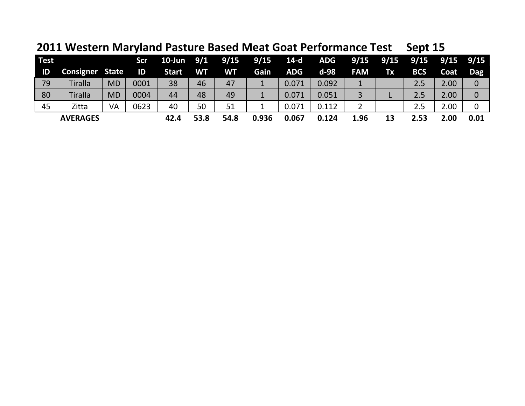**2011 Western Maryland Pasture Based Meat Goat Performance Test Sept 15**

| <b>Test</b> |                        |           | <b>Scr</b> | 10-Jun 9/1   |           | 9/15      | 9/15  | 14-d  | <b>ADG</b> |            |    | $9/15$ $9/15$ $9/15$ $9/15$ $9/15$ |      |                |
|-------------|------------------------|-----------|------------|--------------|-----------|-----------|-------|-------|------------|------------|----|------------------------------------|------|----------------|
| ID          | <b>Consigner State</b> |           | ID         | <b>Start</b> | <b>WT</b> | <b>WT</b> | Gain  | ADG.  | d-98       | <b>FAM</b> | Tx | <b>BCS</b>                         | Coat | Dag            |
| 79          | <b>Tiralla</b>         | <b>MD</b> | 0001       | 38           | 46        | 47        |       | 0.071 | 0.092      |            |    | 2.5                                | 2.00 | 0              |
| 80          | <b>Tiralla</b>         | <b>MD</b> | 0004       | 44           | 48        | 49        | 1     | 0.071 | 0.051      | 3          | −  | 2.5                                | 2.00 | $\overline{0}$ |
| 45          | Zitta                  | VA        | 0623       | 40           | 50        | 51        |       | 0.071 | 0.112      |            |    | 2.5                                | 2.00 | 0              |
|             | <b>AVERAGES</b>        |           |            | 42.4         | 53.8      | 54.8      | 0.936 | 0.067 | 0.124      | 1.96       | 13 | 2.53                               | 2.00 | 0.01           |